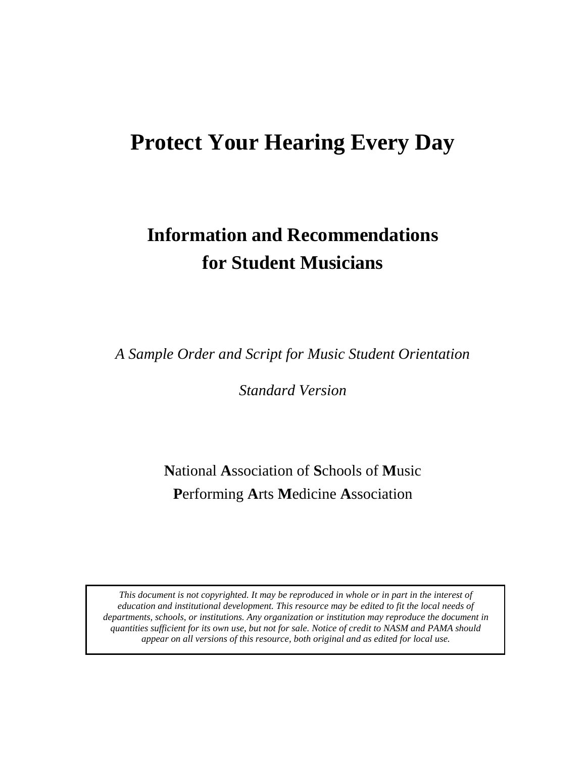## **Protect Your Hearing Every Day**

# **Information and Recommendations for Student Musicians**

*A Sample Order and Script for Music Student Orientation*

*Standard Version*

**N**ational **A**ssociation of **S**chools of **M**usic **P**erforming **A**rts **M**edicine **A**ssociation

*This document is not copyrighted. It may be reproduced in whole or in part in the interest of education and institutional development. This resource may be edited to fit the local needs of departments, schools, or institutions. Any organization or institution may reproduce the document in quantities sufficient for its own use, but not for sale. Notice of credit to NASM and PAMA should appear on all versions of this resource, both original and as edited for local use.*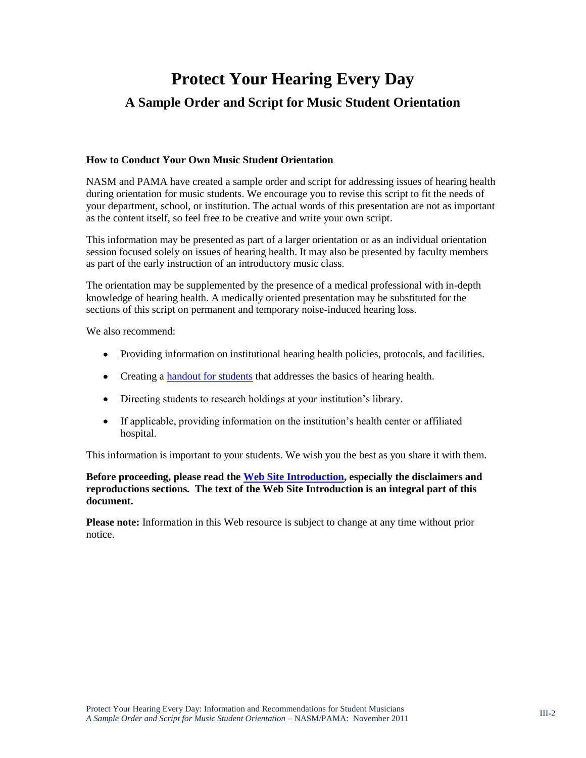## **Protect Your Hearing Every Day A Sample Order and Script for Music Student Orientation**

#### **How to Conduct Your Own Music Student Orientation**

NASM and PAMA have created a sample order and script for addressing issues of hearing health during orientation for music students. We encourage you to revise this script to fit the needs of your department, school, or institution. The actual words of this presentation are not as important as the content itself, so feel free to be creative and write your own script.

This information may be presented as part of a larger orientation or as an individual orientation session focused solely on issues of hearing health. It may also be presented by faculty members as part of the early instruction of an introductory music class.

The orientation may be supplemented by the presence of a medical professional with in-depth knowledge of hearing health. A medically oriented presentation may be substituted for the sections of this script on permanent and temporary noise-induced hearing loss.

We also recommend:

- Providing information on institutional hearing health policies, protocols, and facilities.
- Creating a [handout for students](https://nasm.arts-accredit.org/wp-content/uploads/sites/2/2016/02/5a_NASM_PAMA-Student_Information_Sheet-Standard.pdf) that addresses the basics of hearing health.
- Directing students to research holdings at your institution's library.
- If applicable, providing information on the institution's health center or affiliated hospital.

This information is important to your students. We wish you the best as you share it with them.

**Before proceeding, please read the [Web Site Introduction,](https://nasm.arts-accredit.org/publications/brochures-advisories/nasm-pama-hearing-health/) especially the disclaimers and reproductions sections. The text of the Web Site Introduction is an integral part of this document.**

**Please note:** Information in this Web resource is subject to change at any time without prior notice.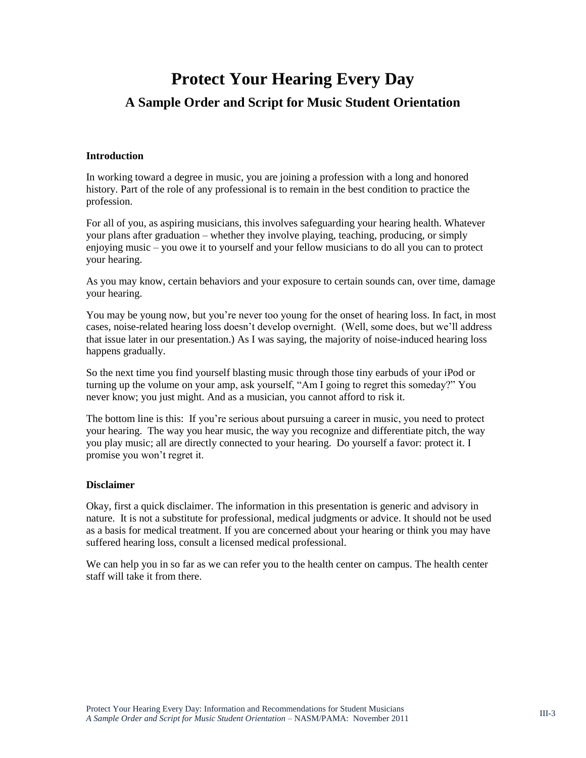### **Protect Your Hearing Every Day**

### **A Sample Order and Script for Music Student Orientation**

#### **Introduction**

In working toward a degree in music, you are joining a profession with a long and honored history. Part of the role of any professional is to remain in the best condition to practice the profession.

For all of you, as aspiring musicians, this involves safeguarding your hearing health. Whatever your plans after graduation – whether they involve playing, teaching, producing, or simply enjoying music – you owe it to yourself and your fellow musicians to do all you can to protect your hearing.

As you may know, certain behaviors and your exposure to certain sounds can, over time, damage your hearing.

You may be young now, but you're never too young for the onset of hearing loss. In fact, in most cases, noise-related hearing loss doesn't develop overnight. (Well, some does, but we'll address that issue later in our presentation.) As I was saying, the majority of noise-induced hearing loss happens gradually.

So the next time you find yourself blasting music through those tiny earbuds of your iPod or turning up the volume on your amp, ask yourself, "Am I going to regret this someday?" You never know; you just might. And as a musician, you cannot afford to risk it.

The bottom line is this: If you're serious about pursuing a career in music, you need to protect your hearing. The way you hear music, the way you recognize and differentiate pitch, the way you play music; all are directly connected to your hearing. Do yourself a favor: protect it. I promise you won't regret it.

#### **Disclaimer**

Okay, first a quick disclaimer. The information in this presentation is generic and advisory in nature. It is not a substitute for professional, medical judgments or advice. It should not be used as a basis for medical treatment. If you are concerned about your hearing or think you may have suffered hearing loss, consult a licensed medical professional.

We can help you in so far as we can refer you to the health center on campus. The health center staff will take it from there.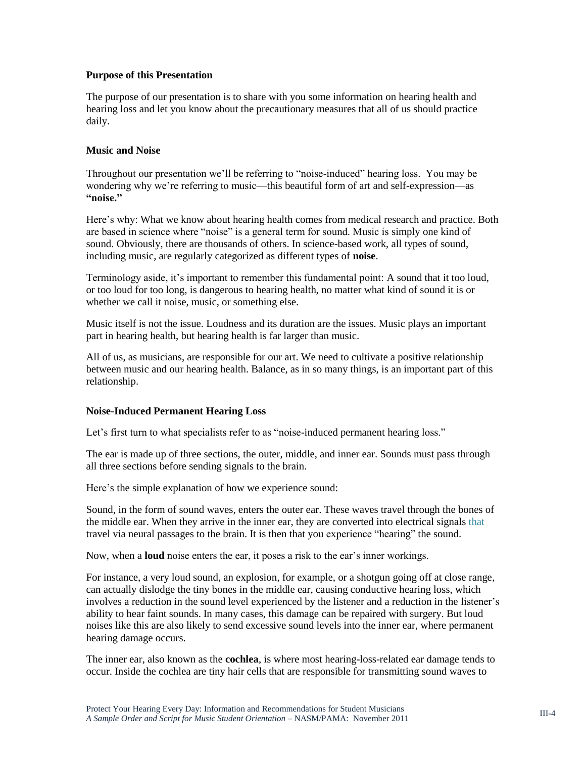#### **Purpose of this Presentation**

The purpose of our presentation is to share with you some information on hearing health and hearing loss and let you know about the precautionary measures that all of us should practice daily.

#### **Music and Noise**

Throughout our presentation we'll be referring to "noise-induced" hearing loss. You may be wondering why we're referring to music—this beautiful form of art and self-expression—as **"noise."**

Here's why: What we know about hearing health comes from medical research and practice. Both are based in science where "noise" is a general term for sound. Music is simply one kind of sound. Obviously, there are thousands of others. In science-based work, all types of sound, including music, are regularly categorized as different types of **noise**.

Terminology aside, it's important to remember this fundamental point: A sound that it too loud, or too loud for too long, is dangerous to hearing health, no matter what kind of sound it is or whether we call it noise, music, or something else.

Music itself is not the issue. Loudness and its duration are the issues. Music plays an important part in hearing health, but hearing health is far larger than music.

All of us, as musicians, are responsible for our art. We need to cultivate a positive relationship between music and our hearing health. Balance, as in so many things, is an important part of this relationship.

#### **Noise-Induced Permanent Hearing Loss**

Let's first turn to what specialists refer to as "noise-induced permanent hearing loss."

The ear is made up of three sections, the outer, middle, and inner ear. Sounds must pass through all three sections before sending signals to the brain.

Here's the simple explanation of how we experience sound:

Sound, in the form of sound waves, enters the outer ear. These waves travel through the bones of the middle ear. When they arrive in the inner ear, they are converted into electrical signals that travel via neural passages to the brain. It is then that you experience "hearing" the sound.

Now, when a **loud** noise enters the ear, it poses a risk to the ear's inner workings.

For instance, a very loud sound, an explosion, for example, or a shotgun going off at close range, can actually dislodge the tiny bones in the middle ear, causing conductive hearing loss, which involves a reduction in the sound level experienced by the listener and a reduction in the listener's ability to hear faint sounds. In many cases, this damage can be repaired with surgery. But loud noises like this are also likely to send excessive sound levels into the inner ear, where permanent hearing damage occurs.

The inner ear, also known as the **cochlea**, is where most hearing-loss-related ear damage tends to occur. Inside the cochlea are tiny hair cells that are responsible for transmitting sound waves to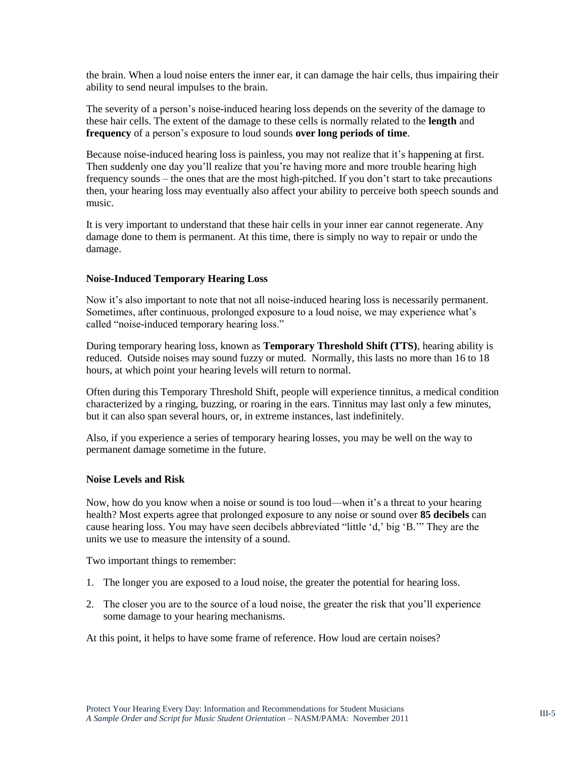the brain. When a loud noise enters the inner ear, it can damage the hair cells, thus impairing their ability to send neural impulses to the brain.

The severity of a person's noise-induced hearing loss depends on the severity of the damage to these hair cells. The extent of the damage to these cells is normally related to the **length** and **frequency** of a person's exposure to loud sounds **over long periods of time**.

Because noise-induced hearing loss is painless, you may not realize that it's happening at first. Then suddenly one day you'll realize that you're having more and more trouble hearing high frequency sounds – the ones that are the most high-pitched. If you don't start to take precautions then, your hearing loss may eventually also affect your ability to perceive both speech sounds and music.

It is very important to understand that these hair cells in your inner ear cannot regenerate. Any damage done to them is permanent. At this time, there is simply no way to repair or undo the damage.

#### **Noise-Induced Temporary Hearing Loss**

Now it's also important to note that not all noise-induced hearing loss is necessarily permanent. Sometimes, after continuous, prolonged exposure to a loud noise, we may experience what's called "noise-induced temporary hearing loss."

During temporary hearing loss, known as **Temporary Threshold Shift (TTS)**, hearing ability is reduced. Outside noises may sound fuzzy or muted. Normally, this lasts no more than 16 to 18 hours, at which point your hearing levels will return to normal.

Often during this Temporary Threshold Shift, people will experience tinnitus, a medical condition characterized by a ringing, buzzing, or roaring in the ears. Tinnitus may last only a few minutes, but it can also span several hours, or, in extreme instances, last indefinitely.

Also, if you experience a series of temporary hearing losses, you may be well on the way to permanent damage sometime in the future.

#### **Noise Levels and Risk**

Now, how do you know when a noise or sound is too loud—when it's a threat to your hearing health? Most experts agree that prolonged exposure to any noise or sound over **85 decibels** can cause hearing loss. You may have seen decibels abbreviated "little 'd,' big 'B.'" They are the units we use to measure the intensity of a sound.

Two important things to remember:

- 1. The longer you are exposed to a loud noise, the greater the potential for hearing loss.
- 2. The closer you are to the source of a loud noise, the greater the risk that you'll experience some damage to your hearing mechanisms.

At this point, it helps to have some frame of reference. How loud are certain noises?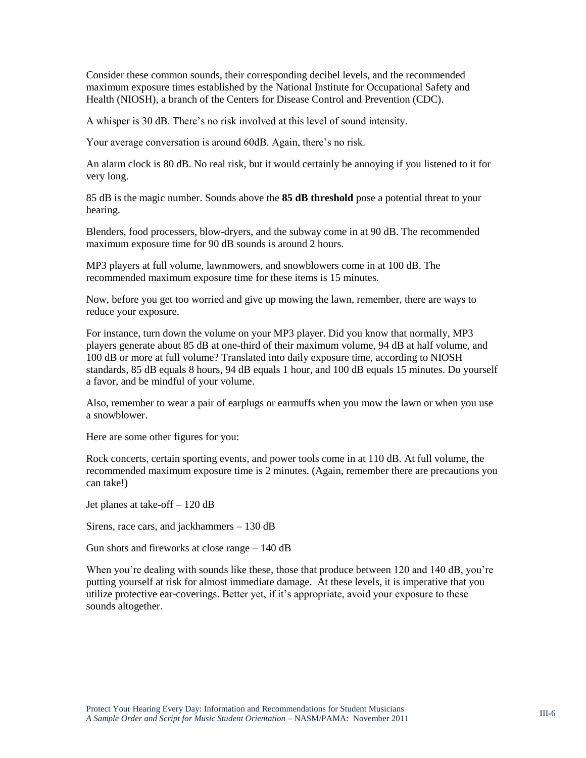Consider these common sounds, their corresponding decibel levels, and the recommended maximum exposure times established by the National Institute for Occupational Safety and Health (NIOSH), a branch of the Centers for Disease Control and Prevention (CDC).

A whisper is 30 dB. There's no risk involved at this level of sound intensity.

Your average conversation is around 60dB. Again, there's no risk.

An alarm clock is 80 dB. No real risk, but it would certainly be annoying if you listened to it for very long.

85 dB is the magic number. Sounds above the **85 dB threshold** pose a potential threat to your hearing.

Blenders, food processers, blow-dryers, and the subway come in at 90 dB. The recommended maximum exposure time for 90 dB sounds is around 2 hours.

MP3 players at full volume, lawnmowers, and snowblowers come in at 100 dB. The recommended maximum exposure time for these items is 15 minutes.

Now, before you get too worried and give up mowing the lawn, remember, there are ways to reduce your exposure.

For instance, turn down the volume on your MP3 player. Did you know that normally, MP3 players generate about 85 dB at one-third of their maximum volume, 94 dB at half volume, and 100 dB or more at full volume? Translated into daily exposure time, according to NIOSH standards, 85 dB equals 8 hours, 94 dB equals 1 hour, and 100 dB equals 15 minutes. Do yourself a favor, and be mindful of your volume.

Also, remember to wear a pair of earplugs or earmuffs when you mow the lawn or when you use a snowblower.

Here are some other figures for you:

Rock concerts, certain sporting events, and power tools come in at 110 dB. At full volume, the recommended maximum exposure time is 2 minutes. (Again, remember there are precautions you can take!)

Jet planes at take-off – 120 dB

Sirens, race cars, and jackhammers – 130 dB

Gun shots and fireworks at close range – 140 dB

When you're dealing with sounds like these, those that produce between 120 and 140 dB, you're putting yourself at risk for almost immediate damage. At these levels, it is imperative that you utilize protective ear-coverings. Better yet, if it's appropriate, avoid your exposure to these sounds altogether.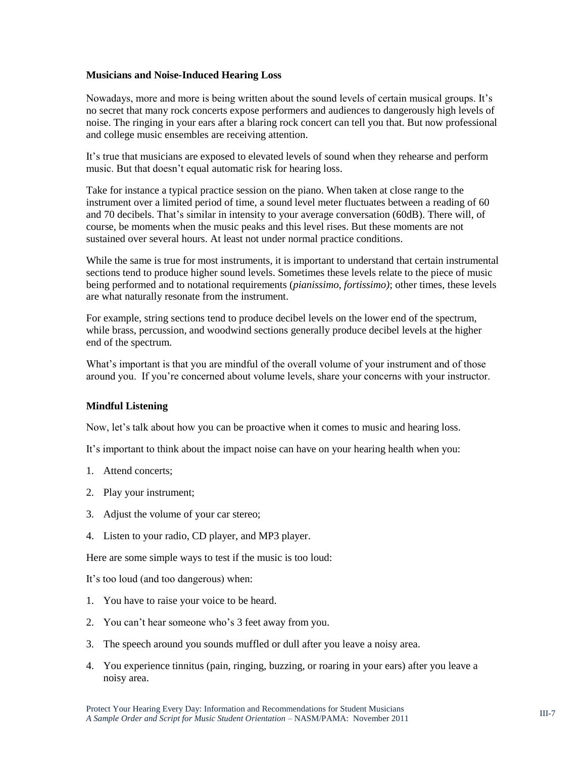#### **Musicians and Noise-Induced Hearing Loss**

Nowadays, more and more is being written about the sound levels of certain musical groups. It's no secret that many rock concerts expose performers and audiences to dangerously high levels of noise. The ringing in your ears after a blaring rock concert can tell you that. But now professional and college music ensembles are receiving attention.

It's true that musicians are exposed to elevated levels of sound when they rehearse and perform music. But that doesn't equal automatic risk for hearing loss.

Take for instance a typical practice session on the piano. When taken at close range to the instrument over a limited period of time, a sound level meter fluctuates between a reading of 60 and 70 decibels. That's similar in intensity to your average conversation (60dB). There will, of course, be moments when the music peaks and this level rises. But these moments are not sustained over several hours. At least not under normal practice conditions.

While the same is true for most instruments, it is important to understand that certain instrumental sections tend to produce higher sound levels. Sometimes these levels relate to the piece of music being performed and to notational requirements (*pianissimo, fortissimo)*; other times, these levels are what naturally resonate from the instrument.

For example, string sections tend to produce decibel levels on the lower end of the spectrum, while brass, percussion, and woodwind sections generally produce decibel levels at the higher end of the spectrum.

What's important is that you are mindful of the overall volume of your instrument and of those around you. If you're concerned about volume levels, share your concerns with your instructor.

#### **Mindful Listening**

Now, let's talk about how you can be proactive when it comes to music and hearing loss.

It's important to think about the impact noise can have on your hearing health when you:

- 1. Attend concerts;
- 2. Play your instrument;
- 3. Adjust the volume of your car stereo;
- 4. Listen to your radio, CD player, and MP3 player.

Here are some simple ways to test if the music is too loud:

It's too loud (and too dangerous) when:

- 1. You have to raise your voice to be heard.
- 2. You can't hear someone who's 3 feet away from you.
- 3. The speech around you sounds muffled or dull after you leave a noisy area.
- 4. You experience tinnitus (pain, ringing, buzzing, or roaring in your ears) after you leave a noisy area.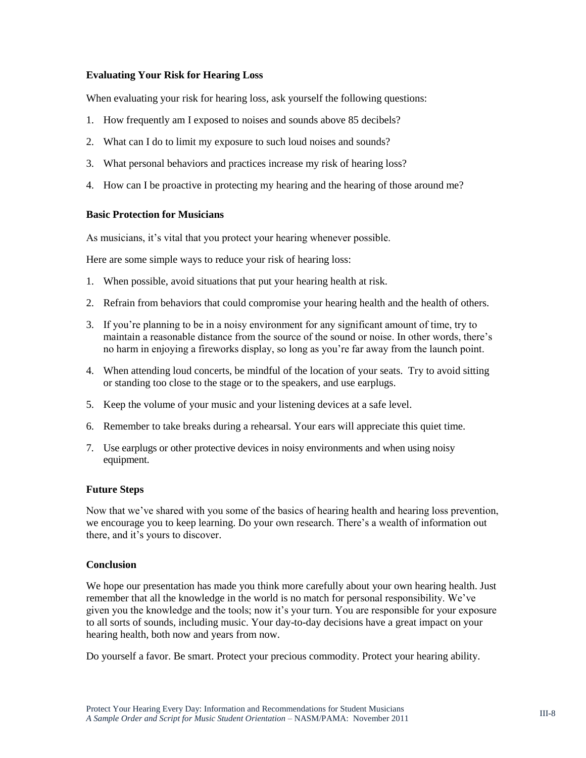#### **Evaluating Your Risk for Hearing Loss**

When evaluating your risk for hearing loss, ask yourself the following questions:

- 1. How frequently am I exposed to noises and sounds above 85 decibels?
- 2. What can I do to limit my exposure to such loud noises and sounds?
- 3. What personal behaviors and practices increase my risk of hearing loss?
- 4. How can I be proactive in protecting my hearing and the hearing of those around me?

#### **Basic Protection for Musicians**

As musicians, it's vital that you protect your hearing whenever possible.

Here are some simple ways to reduce your risk of hearing loss:

- 1. When possible, avoid situations that put your hearing health at risk.
- 2. Refrain from behaviors that could compromise your hearing health and the health of others.
- 3. If you're planning to be in a noisy environment for any significant amount of time, try to maintain a reasonable distance from the source of the sound or noise. In other words, there's no harm in enjoying a fireworks display, so long as you're far away from the launch point.
- 4. When attending loud concerts, be mindful of the location of your seats. Try to avoid sitting or standing too close to the stage or to the speakers, and use earplugs.
- 5. Keep the volume of your music and your listening devices at a safe level.
- 6. Remember to take breaks during a rehearsal. Your ears will appreciate this quiet time.
- 7. Use earplugs or other protective devices in noisy environments and when using noisy equipment.

#### **Future Steps**

Now that we've shared with you some of the basics of hearing health and hearing loss prevention, we encourage you to keep learning. Do your own research. There's a wealth of information out there, and it's yours to discover.

#### **Conclusion**

We hope our presentation has made you think more carefully about your own hearing health. Just remember that all the knowledge in the world is no match for personal responsibility. We've given you the knowledge and the tools; now it's your turn. You are responsible for your exposure to all sorts of sounds, including music. Your day-to-day decisions have a great impact on your hearing health, both now and years from now.

Do yourself a favor. Be smart. Protect your precious commodity. Protect your hearing ability.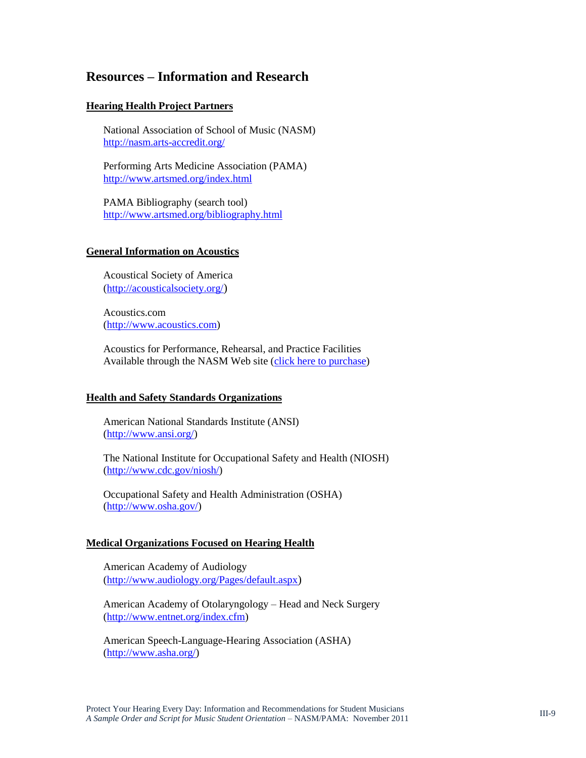### **Resources – Information and Research**

#### **Hearing Health Project Partners**

National Association of School of Music (NASM) <http://nasm.arts-accredit.org/>

Performing Arts Medicine Association (PAMA) <http://www.artsmed.org/index.html>

PAMA Bibliography (search tool) <http://www.artsmed.org/bibliography.html>

#### **General Information on Acoustics**

Acoustical Society of America [\(http://acousticalsociety.org/](http://acousticalsociety.org/))

Acoustics.com [\(http://www.acoustics.com\)](http://www.acoustics.com/)

Acoustics for Performance, Rehearsal, and Practice Facilities Available through the NASM Web site [\(click here to purchase\)](http://nasm.arts-accredit.org/index.jsp?page=Catalog&itemId=7dd5482738ef7ff7de8e351d086350d6)

#### **Health and Safety Standards Organizations**

American National Standards Institute (ANSI) [\(http://www.ansi.org/\)](http://www.ansi.org/)

The National Institute for Occupational Safety and Health (NIOSH) [\(http://www.cdc.gov/niosh/\)](http://www.cdc.gov/niosh/)

Occupational Safety and Health Administration (OSHA) [\(http://www.osha.gov/\)](http://www.osha.gov/)

#### **Medical Organizations Focused on Hearing Health**

American Academy of Audiology [\(http://www.audiology.org/Pages/default.aspx](http://www.audiology.org/Pages/default.aspx))

American Academy of Otolaryngology – Head and Neck Surgery [\(http://www.entnet.org/index.cfm\)](http://www.entnet.org/index.cfm)

American Speech-Language-Hearing Association (ASHA) [\(http://www.asha.org/\)](http://www.asha.org/)